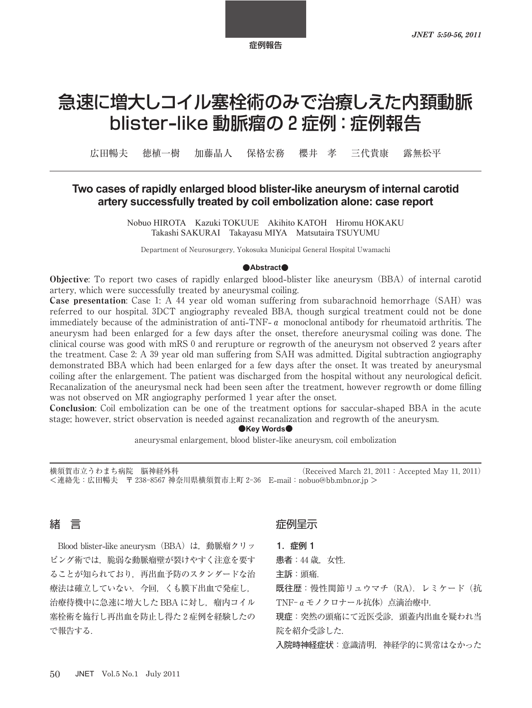# 急速に増大しコイル塞栓術のみで治療しえた内頚動脈 blister-like 動脈瘤の 2 症例: 症例報告

広田暢夫 徳植一樹 加藤晶人 保格宏務 櫻井 孝 三代貴康 露無松平

## Two cases of rapidly enlarged blood blister-like aneurysm of internal carotid artery successfully treated by coil embolization alone: case report

Nobuo HIROTA Kazuki TOKUUE Akihito KATOH Hiromu HOKAKU Takashi SAKURAI Takayasu MIYA Matsutaira TSUYUMU

Department of Neurosurgery, Yokosuka Municipal General Hospital Uwamachi

#### $\bullet$ **Abstract**

**Objective**: To report two cases of rapidly enlarged blood-blister like aneurysm (BBA) of internal carotid artery, which were successfully treated by aneurysmal coiling.

**Case presentation**: Case 1: A 44 year old woman suffering from subarachnoid hemorrhage (SAH) was referred to our hospital. DCT angiography revealed BBA, though surgical treatment could not be done immediately because of the administration of anti**-**TNF**-**α monoclonal antibody for rheumatoid arthritis. The aneurysm had been enlarged for a few days after the onset, therefore aneurysmal coiling was done. The clinical course was good with mRS 0 and rerupture or regrowth of the aneurysm not observed 2 years after the treatment. Case 2: A 39 year old man suffering from SAH was admitted. Digital subtraction angiography demonstrated BBA which had been enlarged for a few days after the onset. It was treated by aneurysmal coiling after the enlargement. The patient was discharged from the hospital without any neurological deficit. Recanalization of the aneurysmal neck had been seen after the treatment, however regrowth or dome filling was not observed on MR angiography performed 1 year after the onset.

Conclusion: Coil embolization can be one of the treatment options for saccular**-**shaped BBA in the acute stage; however, strict observation is needed against recanalization and regrowth of the aneurysm.

 $\bullet$ **Key Words** $\bullet$ 

aneurysmal enlargement, blood blister**-**like aneurysm, coil embolization

横須賀市立うわまち病院 脳神経外科 (Received March 21, 2011 : Accepted May 11, 2011) <連絡先:広田暢夫 〒 神奈川県横須賀市上町 E**-**mail:nobuo@bb.mbn.or.jp >

## 緒 言

Blood blister**-**like aneurysm(BBA)は,動脈瘤クリッ ピング術では,脆弱な動脈瘤壁が裂けやすく注意を要す ることが知られており,再出血予防のスタンダードな治 療法は確立していない. 今回, くも膜下出血で発症し, 治療待機中に急速に増大した BBA に対し、瘤内コイル 塞栓術を施行し再出血を防止し得た 症例を経験したの で報告する.

## 症例呈示

1.症例 1

患者: 44歳. 女性.

主訴:頭痛.

既往歴:慢性関節リュウマチ (RA). レミケード (抗 TNF- $a \neq b$ ノクロナール抗体)点滴治療中.

現症:突然の頭痛にて近医受診,頭蓋内出血を疑われ当 院を紹介受診した.

入院時神経症状:意識清明,神経学的に異常はなかった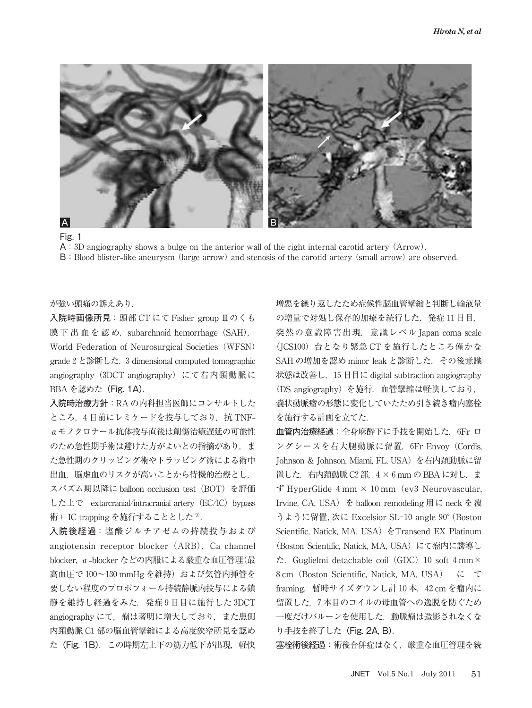



 $\mathsf{A}:3\mathbb{D}$  angiography shows a bulge on the anterior wall of the right internal carotid artery  $(\text{Arrow})$ . **B**: Blood blister-like aneurysm (large arrow) and stenosis of the carotid artery (small arrow) are observed.

#### が強い頭痛の訴えあり.

入院時画像所見:頭部 CT にて Fisher group Ⅲのくも 膜下出血を認め, subarchnoid hemorrhage (SAH), World Federation of Neurosurgical Societies (WFSN) grade  $2 \nmid \mathcal{E}$ 診断した. 3 dimensional computed tomographic angiography (3DCT angiography)にて右内頚動脈に BBA を認めた (Fig. 1A).

入院時治療方針:RA の内科担当医師にコンサルトした ところ, 日前にレミケードを投与しており,抗 TNFαモノクロナール抗体投与直後は創傷治癒遅延の可能性 のため急性期手術は避けた方がよいとの指摘があり、ま た急性期のクリッピング術やトラッピング術による術中 出血,脳虚血のリスクが高いことから待機的治療とし,

スパズム期以降に balloon occlusion test (BOT) を評価 した上で extarcranial/intracranial artery (EC/IC) bypass 術+ IC trapping を施行することとした<sup>9)</sup>.

入院後経過:塩酸ジルチアゼムの持続投与および angiotensin receptor blocker (ARB), Ca channel blocker,α**-**blocker などの内服による厳重な血圧管理(最 高血圧で 100~130 mmHg を維持) および気管内挿管を 要しない程度のプロポフォール持続静脈内投与による鎮 静を維持し経過をみた. 発症9日目に施行した 3DCT angiography にて、瘤は著明に増大しており、また患側 内頚動脈 C1部の脳血管攣縮による高度狭窄所見を認め た (Fig. 1B). この時期左上下の筋力低下が出現, 軽快

増悪を繰り返したため症候性脳血管攣縮と判断し輸液量 の増量で対処し保存的加療を続行した. 発症 11日目, 突然の意識障害出現,意識レベル Japan coma scale (JCS)台となり緊急 CT を施行したところ僅かな SAH の増加を認め minor leak と診断した. その後意識 状態は改善し, 日目に digital subtraction angiography (DS angiography)を施行,血管攣縮は軽快しており, 嚢状動脈瘤の形態に変化していたため引き続き瘤内塞栓 を施行する計画を立てた.

血管内治療経過:全身麻酔下に手技を開始した. 6Fr ロ ングシースを右大腿動脈に留置, 6Fr Envoy (Cordis, Johnson & Johnson, Miami, FL, USA)を右内頚動脈に留 置した. 右内頚動脈 C2部, 4 × 6 mm の BBA に対し, ま  $\overrightarrow{f}$  HyperGlide  $4 \text{ mm} \times 10 \text{ mm}$  (ev 3 Neurovascular, Irvine, CA, USA) を balloon remodeling 用に neck を覆 うように留置, 次に Excelsior SL-10 angle 90° (Boston Scientific, Natick, MA, USA)をTransend EX Platinum (Boston Scientific, Natick, MA, USA) にて瘤内に誘導し  $\dot{\mathcal{L}}$ . Guglielmi detachable coil (GDC) 10 soft  $4 \text{ mm} \times$  cm(Boston Scientific, Natick, MA, USA) に て framing, 暫時サイズダウンし計 10本, 42 cm を瘤内に 留置した. 本目のコイルの母血管への逸脱を防ぐため 一度だけバルーンを使用した.動脈瘤は造影されなくな り手技を終了した(Fig. 2A, B).

塞栓術後経過:術後合併症はなく,厳重な血圧管理を続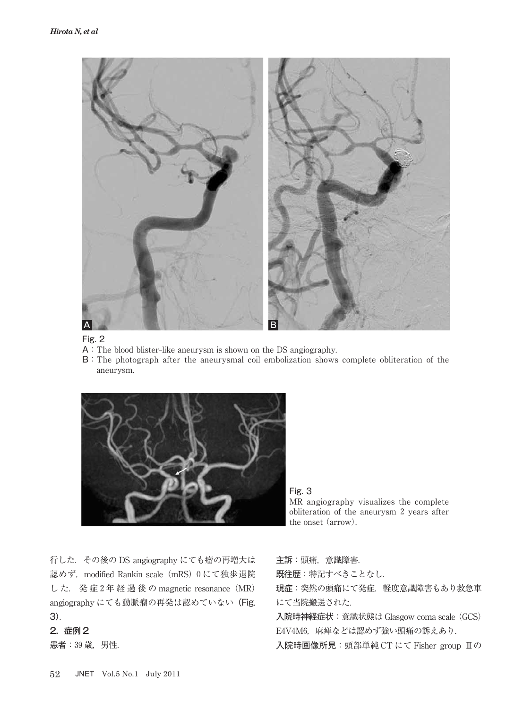

#### Fig. 2

- A:The blood blister**-**like aneurysm is shown on the DS angiography.
- B:The photograph after the aneurysmal coil embolization shows complete obliteration of the aneurysm.



Fig. 3 MR angiography visualizes the complete obliteration of the aneurysm 2 years after the onset (arrow).

行した.その後の DS angiography にても瘤の再増大は 認めず, modified Rankin scale (mRS) 0にて独歩退院 した. 発症2年経過後のmagnetic resonance (MR) angiography にても動脈瘤の再発は認めていない(Fig. 3).

### 2.症例 2

患者: 39 歳, 男性.

主訴:頭痛,意識障害.

既往歴:特記すべきことなし.

現症:突然の頭痛にて発症. 軽度意識障害もあり救急車 にて当院搬送された.

入院時神経症状: 意識状態は Glasgow coma scale (GCS) E4V4M6, 麻痺などは認めず強い頭痛の訴えあり.

入院時画像所見:頭部単純 CT にて Fisher group Ⅲの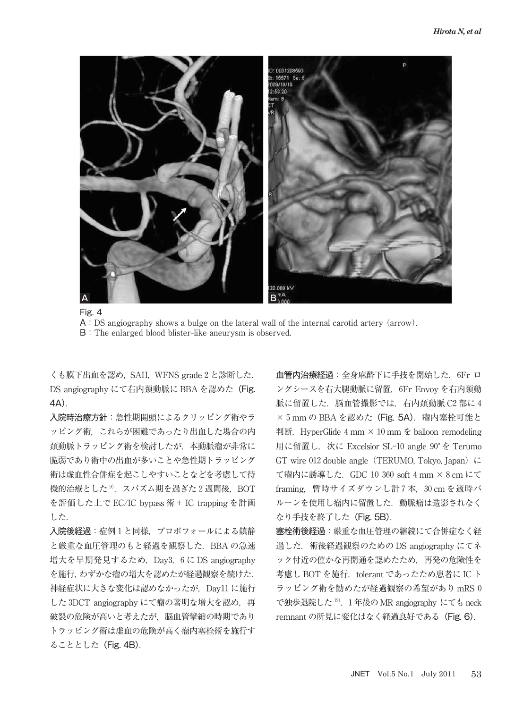

Fig. 4  $\mathsf{A}$ : DS angiography shows a bulge on the lateral wall of the internal carotid artery (arrow). B:The enlarged blood blister**-**like aneurysm is observed.

くも膜下出血を認め, SAH, WFNS grade 2 と診断した. DS angiography にて右内頚動脈に BBA を認めた (Fig. 4A).

入院時治療方針:急性期開頭によるクリッピング術やラ ッピング術,これらが困難であったり出血した場合の内 頚動脈トラッピング術を検討したが,本動脈瘤が非常に 脆弱であり術中の出血が多いことや急性期トラッピング 術は虚血性合併症を起こしやすいことなどを考慮して待 機的治療とした $9.75$ スパズム期を過ぎた 2週間後, BOT を評価した上で EC/IC bypass 術+ IC trapping を計画 した.

入院後経過:症例1と同様、プロポフォールによる鎮静 と厳重な血圧管理のもと経過を観察した.BBA の急速 増大を早期発見するため, Day3, 6に DS angiography を施行,わずかな瘤の増大を認めたが経過観察を続けた. 神経症状に大きな変化は認めなかったが, Day11 に施行 した 3DCT angiography にて瘤の著明な増大を認め、再 破裂の危険が高いと考えたが,脳血管攣縮の時期であり トラッピング術は虚血の危険が高く瘤内塞栓術を施行す ることとした(Fig. 4B).

血管内治療経過:全身麻酔下に手技を開始した. 6Fr ロ ングシースを右大腿動脈に留置. 6Fr Envoy を右内頚動 脈に留置した. 脳血管撮影では. 右内頚動脈 C2 部に4 × 5 mm の BBA を認めた (Fig. 5A). 瘤内塞栓可能と 判断, HyperGlide  $4 \text{ mm} \times 10 \text{ mm}$   $\text{\&}$  balloon remodeling 用に留置し, 次に Excelsior SL-10 angle 90° を Terumo GT wire  $012$  double angle (TERUMO, Tokyo, Japan) に て瘤内に誘導した. GDC 10 360 soft 4 mm × 8 cm にて framing, 暫時サイズダウンし計7本, 30 cm を適時バ ルーンを使用し瘤内に留置した.動脈瘤は造影されなく なり手技を終了した(Fig. 5B).

塞栓術後経過:厳重な血圧管理の継続にて合併症なく経 過した.術後経過観察のための DS angiography にてネ ック付近の僅かな再開通を認めたため,再発の危険性を 考慮し BOT を施行, tolerant であったため患者に IC ト ラッピング術を勧めたが経過観察の希望があり mRS で独歩退院した<sup>12)</sup>. 1年後の MR angiography にても neck remnant の所見に変化はなく経過良好である(Fig. 6).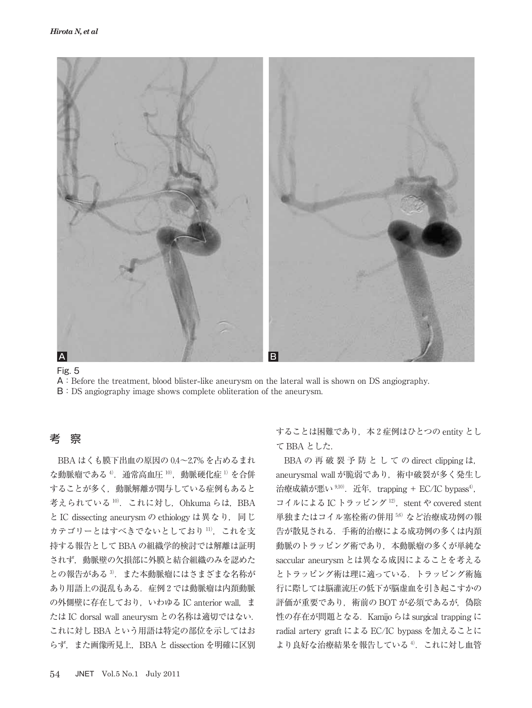

Fig. 5

A:Before the treatment, blood blister**-**like aneurysm on the lateral wall is shown on DS angiography.

B:DS angiography image shows complete obliteration of the aneurysm.

# 考 察

BBA はくも膜下出血の原因の 0.4~2.7% を占めるまれ な動脈瘤である<sup>4</sup>. 通常高血圧 10), 動脈硬化症 1) を合併 することが多く,動脈解離が関与している症例もあると 考えられている<sup>10)</sup>. これに対し, Ohkuma らは, BBA と IC dissecting aneurysm の ethiology は異なり,同じ カテゴリーとはすべきでないとしており 11), これを支 持する報告として BBA の組織学的検討では解離は証明 されず,動脈壁の欠損部に外膜と結合組織のみを認めた との報告がある<sup>3</sup>. また本動脈瘤にはさまざまな名称が あり用語上の混乱もある. 症例2では動脈瘤は内頚動脈 の外側壁に存在しており、いわゆる IC anterior wall, ま たは IC dorsal wall aneurysm との名称は適切ではない. これに対し BBA という用語は特定の部位を示してはお らず、また画像所見上, BBA と dissection を明確に区別

することは困難であり、本2症例はひとつの entity とし て BBA とした.

BBA の 再 破 裂 予 防 と し て の direct clipping は, aneurysmal wall が脆弱であり、術中破裂が多く発生し 治療成績が悪い<sup>9,10</sup>. 近年, trapping + EC/IC bypass<sup>4)</sup>, コイルによる IC トラッピング<sup>12)</sup>, stent や covered stent 単独またはコイル塞栓術の併用 56) など治療成功例の報 告が散見される.手術的治療による成功例の多くは内頚 動脈のトラッピング術であり,本動脈瘤の多くが単純な saccular aneurysm とは異なる成因によることを考える とトラッピング術は理に適っている.トラッピング術施 行に際しては脳灌流圧の低下が脳虚血を引き起こすかの 評価が重要であり、術前の BOT が必須であるが、偽陰 性の存在が問題となる.Kamijo らは surgical trapping に radial artery graft による EC/IC bypass を加えることに より良好な治療結果を報告している4). これに対し血管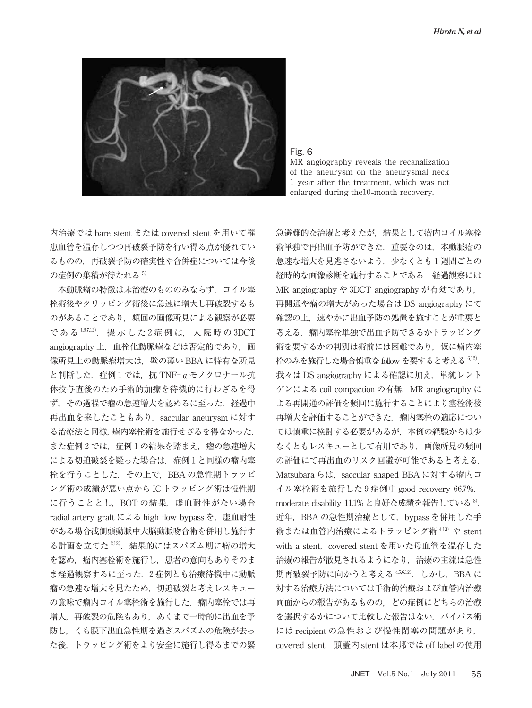

Fig. 6

MR angiography reveals the recanalization of the aneurysm on the aneurysmal neck year after the treatment, which was not enlarged during the<sup>10</sup>-month recovery.

内治療では bare stent または covered stent を用いて罹 患血管を温存しつつ再破裂予防を行い得る点が優れてい るものの,再破裂予防の確実性や合併症については今後 の症例の集積が待たれる $5$ .

本動脈瘤の特徴は未治療のもののみならず,コイル塞 栓術後やクリッピング術後に急速に増大し再破裂するも のがあることであり、頻回の画像所見による観察が必要 である<sup>1,6,7,12</sup>. 提示した2症例は、入院時の3DCT angiography 上, 血栓化動脈瘤などは否定的であり, 画 像所見上の動脈瘤増大は,壁の薄い BBA に特有な所見 と判断した. 症例1では. 抗 TNF- $a \in I$ クロナール抗 体投与直後のため手術的加療を待機的に行わざるを得 ず、その過程で瘤の急速増大を認めるに至った. 経過中 再出血を来したこともあり, saccular aneurysm に対す る治療法と同様,瘤内塞栓術を施行せざるを得なかった. また症例2では、症例1の結果を踏まえ、瘤の急速増大 による切迫破裂を疑った場合は、症例1と同様の瘤内塞 栓を行うことした.その上で,BBA の急性期トラッピ ング術の成績が悪い点から IC トラッピング術は慢性期 に行うこととし、BOT の結果、虚血耐性がない場合 radial artery graft による high flow bypass を,虚血耐性 がある場合浅側頭動脈中大脳動脈吻合術を併用し施行す る計画を立てた<sup>2,12</sup>. 結果的にはスパズム期に瘤の増大 を認め,瘤内塞栓術を施行し,患者の意向もありそのま ま経過観察するに至った. 2症例とも治療待機中に動脈 瘤の急速な増大を見たため,切迫破裂と考えレスキュー の意味で瘤内コイル塞栓術を施行した. 瘤内塞栓では再 増大,再破裂の危険もあり,あくまで一時的に出血を予 防し,くも膜下出血急性期を過ぎスパズムの危険が去っ た後,トラッピング術をより安全に施行し得るまでの緊 急避難的な治療と考えたが,結果として瘤内コイル塞栓 術単独で再出血予防ができた.重要なのは,本動脈瘤の 急速な増大を見逃さないよう、少なくとも1週間ごとの 経時的な画像診断を施行することである. 経過観察には MR angiography や 3DCT angiography が有効であり, 再開通や瘤の増大があった場合は DS angiography にて 確認の上、速やかに出血予防の処置を施すことが重要と 考える.瘤内塞栓単独で出血予防できるかトラッピング 術を要するかの判別は術前には困難であり、仮に瘤内塞 栓のみを施行した場合慎重な follow を要すると考える  $6.12$ . 我々は DS angiography による確認に加え、単純レント ゲンによる coil compaction の有無, MR angiography に よる再開通の評価を頻回に施行することにより塞栓術後 再増大を評価することができた. 瘤内塞栓の適応につい ては慎重に検討する必要があるが,本例の経験からは少 なくともレスキューとして有用であり,画像所見の頻回 の評価にて再出血のリスク回避が可能であると考える. Matsubara らは, saccular shaped BBA に対する瘤内コ イル塞栓術を施行した9症例中 good recovery 66.7%, moderate disability 11.1% と良好な成績を報告している<sup>8)</sup>. 近年, BBA の急性期治療として、bypass を併用した手 術または血管内治療によるトラッピング術 413) や stent with a stent, covered stent を用いた母血管を温存した 治療の報告が散見されるようになり,治療の主流は急性 期再破裂予防に向かうと考える $456,12$ ). しかし、BBA に 対する治療方法については手術的治療および血管内治療 両面からの報告があるものの,どの症例にどちらの治療 を選択するかについて比較した報告はない. バイパス術 には recipient の急性および慢性閉塞の問題があり, covered stent,頭蓋内 stent は本邦では off label の使用